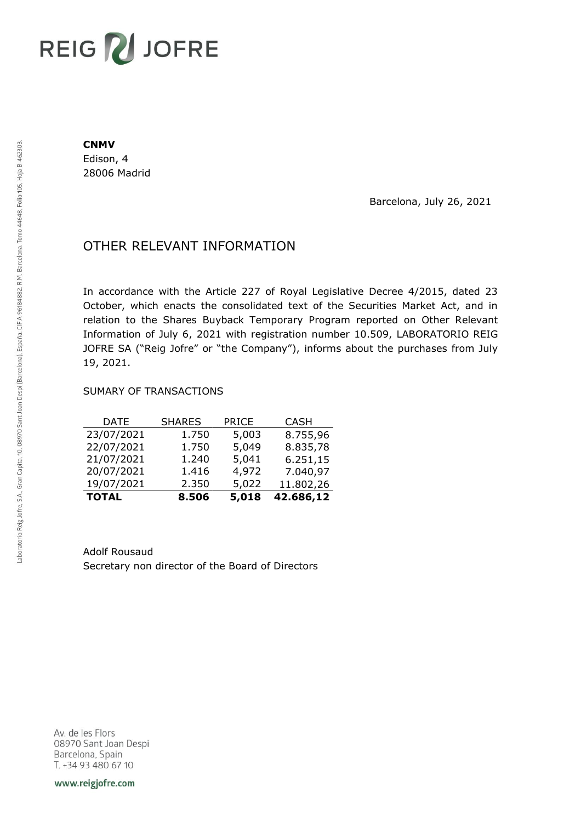# REIG V JOFRE

#### **CNMV**

Edison, 4 28006 Madrid

Barcelona, July 26, 2021

## OTHER RELEVANT INFORMATION

In accordance with the Article 227 of Royal Legislative Decree 4/2015, dated 23 October, which enacts the consolidated text of the Securities Market Act, and in relation to the Shares Buyback Temporary Program reported on Other Relevant Information of July 6, 2021 with registration number 10.509, LABORATORIO REIG JOFRE SA ("Reig Jofre" or "the Company"), informs about the purchases from July 19, 2021.

### SUMARY OF TRANSACTIONS

| <b>TOTAL</b> | 8.506         | 5,018        | 42.686,12   |
|--------------|---------------|--------------|-------------|
| 19/07/2021   | 2.350         | 5,022        | 11.802,26   |
| 20/07/2021   | 1.416         | 4,972        | 7.040,97    |
| 21/07/2021   | 1.240         | 5,041        | 6.251,15    |
| 22/07/2021   | 1.750         | 5,049        | 8.835,78    |
| 23/07/2021   | 1.750         | 5,003        | 8.755,96    |
| <b>DATE</b>  | <b>SHARES</b> | <b>PRICE</b> | <b>CASH</b> |

Adolf Rousaud Secretary non director of the Board of Directors

Av. de les Flors 08970 Sant Joan Despi Barcelona, Spain T. +34 93 480 67 10

www.reigjofre.com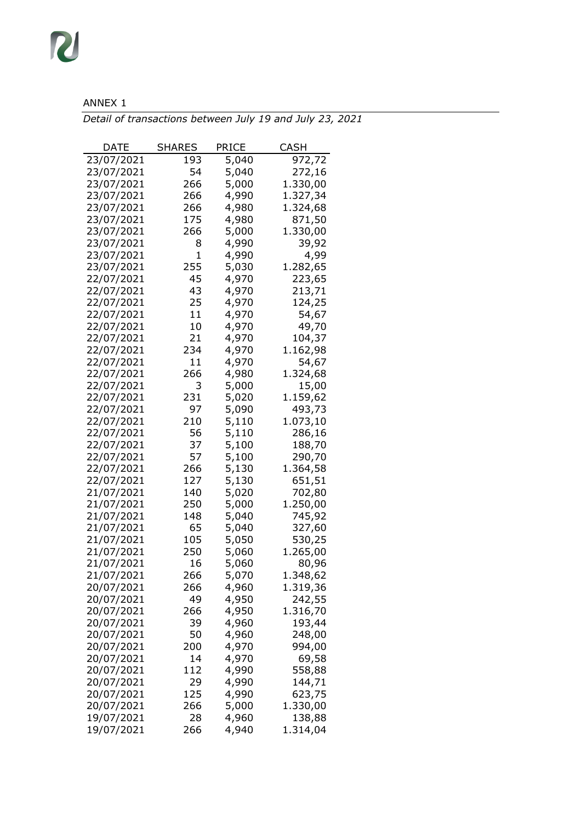## ANNEX 1

R

*Detail of transactions between July 19 and July 23, 2021*

| DATE       | <b>SHARES</b> | PRICE          | CASH               |
|------------|---------------|----------------|--------------------|
| 23/07/2021 | 193           | 5,040          | 972,72             |
| 23/07/2021 | 54            | 5,040          | 272,16             |
| 23/07/2021 | 266           | 5,000          | 1.330,00           |
| 23/07/2021 | 266           | 4,990          | 1.327,34           |
| 23/07/2021 | 266           | 4,980          | 1.324,68           |
| 23/07/2021 | 175           | 4,980          | 871,50             |
| 23/07/2021 | 266           | 5,000          | 1.330,00           |
| 23/07/2021 | 8             | 4,990          | 39,92              |
| 23/07/2021 | 1             | 4,990          | 4,99               |
| 23/07/2021 | 255           | 5,030          | 1.282,65           |
| 22/07/2021 | 45            | 4,970          | 223,65             |
| 22/07/2021 | 43            | 4,970          | 213,71             |
| 22/07/2021 | 25            | 4,970          | 124,25             |
| 22/07/2021 | 11            | 4,970          | 54,67              |
| 22/07/2021 | 10            | 4,970          | 49,70              |
| 22/07/2021 | 21            | 4,970          | 104,37             |
| 22/07/2021 | 234           | 4,970          | 1.162,98           |
| 22/07/2021 | 11            | 4,970          | 54,67              |
| 22/07/2021 | 266           | 4,980          |                    |
| 22/07/2021 | 3             | 5,000          | 1.324,68           |
|            | 231           |                | 15,00              |
| 22/07/2021 | 97            | 5,020<br>5,090 | 1.159,62<br>493,73 |
| 22/07/2021 |               |                |                    |
| 22/07/2021 | 210           | 5,110          | 1.073,10           |
| 22/07/2021 | 56            | 5,110          | 286,16             |
| 22/07/2021 | 37            | 5,100          | 188,70             |
| 22/07/2021 | 57            | 5,100          | 290,70             |
| 22/07/2021 | 266           | 5,130          | 1.364,58           |
| 22/07/2021 | 127           | 5,130          | 651,51             |
| 21/07/2021 | 140           | 5,020          | 702,80             |
| 21/07/2021 | 250           | 5,000          | 1.250,00           |
| 21/07/2021 | 148           | 5,040          | 745,92             |
| 21/07/2021 | 65            | 5,040          | 327,60             |
| 21/07/2021 | 105           | 5,050          | 530,25             |
| 21/07/2021 | 250           | 5,060          | 1.265,00           |
| 21/07/2021 | 16            | 5,060          | 80,96              |
| 21/07/2021 | 266           | 5,070          | 1.348,62           |
| 20/07/2021 | 266           | 4,960          | 1.319,36           |
| 20/07/2021 | 49            | 4,950          | 242,55             |
| 20/07/2021 | 266           | 4,950          | 1.316,70           |
| 20/07/2021 | 39            | 4,960          | 193,44             |
| 20/07/2021 | 50            | 4,960          | 248,00             |
| 20/07/2021 | 200           | 4,970          | 994,00             |
| 20/07/2021 | 14            | 4,970          | 69,58              |
| 20/07/2021 | 112           | 4,990          | 558,88             |
| 20/07/2021 | 29            | 4,990          | 144,71             |
| 20/07/2021 | 125           | 4,990          | 623,75             |
| 20/07/2021 | 266           | 5,000          | 1.330,00           |
| 19/07/2021 | 28            | 4,960          | 138,88             |
| 19/07/2021 | 266           | 4,940          | 1.314,04           |